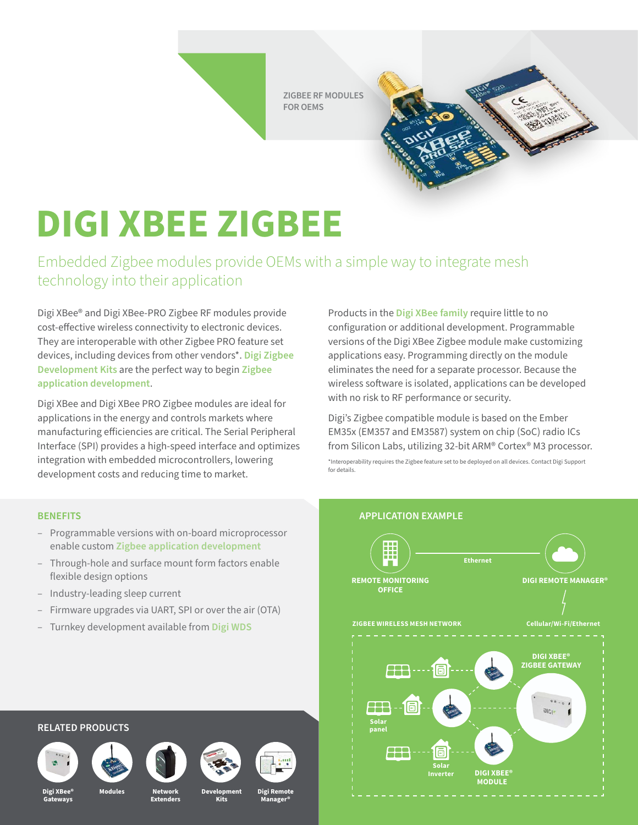**ZIGBEE RF MODULES FOR OEMS**

## **DIGI XBEE ZIGBEE**

Embedded Zigbee modules provide OEMs with a simple way to integrate mesh technology into their application

Digi XBee® and Digi XBee-PRO Zigbee RF modules provide cost-effective wireless connectivity to electronic devices. They are interoperable with other Zigbee PRO feature set devices, including devices from other vendors\*. **[Digi Zigbee](https://www.digi.com/products/xbee-rf-solutions/rf-modules/xbee-zigbee#partnumbers-s2ckits)  [Development Kits](https://www.digi.com/products/xbee-rf-solutions/rf-modules/xbee-zigbee#partnumbers-s2ckits)** are the perfect way to begin **[Zigbee](https://www.digi.com/resources/standards-and-technologies/zigbee-wireless-mesh-networking)  [application development](https://www.digi.com/resources/standards-and-technologies/zigbee-wireless-mesh-networking)**.

Digi XBee and Digi XBee PRO Zigbee modules are ideal for applications in the energy and controls markets where manufacturing efficiencies are critical. The Serial Peripheral Interface (SPI) provides a high-speed interface and optimizes integration with embedded microcontrollers, lowering development costs and reducing time to market.

- Programmable versions with on-board microprocessor enable custom **[Zigbee application development](https://www.digi.com/products/xbee-rf-solutions/rf-modules/xbee-zigbee#partnumbers-s2ckits)**
- Through-hole and surface mount form factors enable flexible design options
- Industry-leading sleep current
- Firmware upgrades via UART, SPI or over the air (OTA)
- Turnkey development available from **[Digi WDS](https://www.digi.com/products/iot-software-services/wireless-design-services)**

Products in the **[Digi XBee family](https://www.digi.com/xbee)** require little to no configuration or additional development. Programmable versions of the Digi XBee Zigbee module make customizing applications easy. Programming directly on the module eliminates the need for a separate processor. Because the wireless software is isolated, applications can be developed with no risk to RF performance or security.

Digi's Zigbee compatible module is based on the Ember EM35x (EM357 and EM3587) system on chip (SoC) radio ICs from Silicon Labs, utilizing 32-bit ARM® Cortex® M3 processor. \*Interoperability requires the Zigbee feature set to be deployed on all devices. Contact Digi Support for details.



## **RELATED PRODUCTS**











**Kits**

![](_page_0_Picture_20.jpeg)

**Digi XBee® Gateways**

**Network Extenders Modules Development**

**Digi Remote Manager®**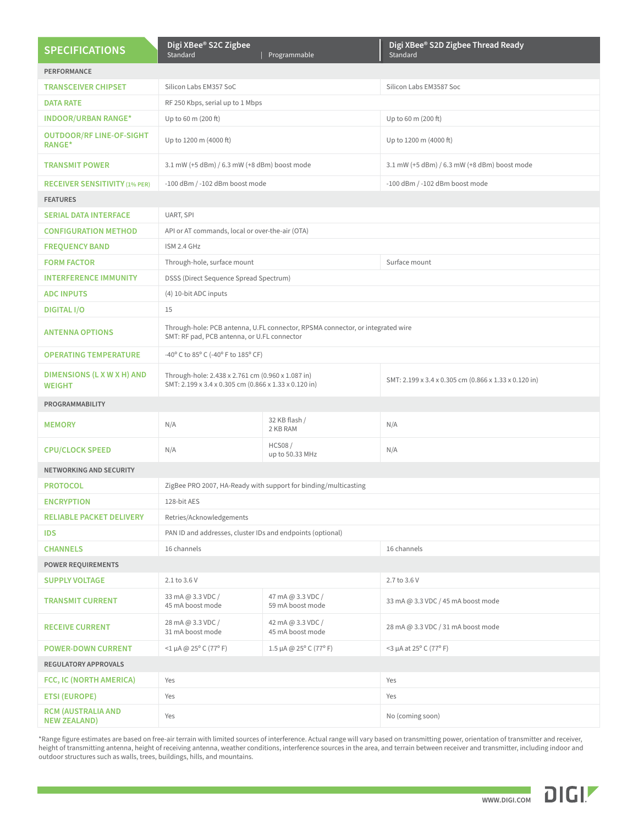| <b>SPECIFICATIONS</b>                            | Digi XBee® S2C Zigbee<br>Standard                                                                                             | Programmable                          | Digi XBee® S2D Zigbee Thread Ready<br>Standard        |  |
|--------------------------------------------------|-------------------------------------------------------------------------------------------------------------------------------|---------------------------------------|-------------------------------------------------------|--|
| <b>PERFORMANCE</b>                               |                                                                                                                               |                                       |                                                       |  |
| <b>TRANSCEIVER CHIPSET</b>                       | Silicon Labs EM357 SoC                                                                                                        |                                       | Silicon Labs EM3587 Soc                               |  |
| <b>DATA RATE</b>                                 | RF 250 Kbps, serial up to 1 Mbps                                                                                              |                                       |                                                       |  |
| <b>INDOOR/URBAN RANGE*</b>                       | Up to 60 m (200 ft)                                                                                                           |                                       | Up to 60 m (200 ft)                                   |  |
| <b>OUTDOOR/RF LINE-OF-SIGHT</b><br><b>RANGE*</b> | Up to 1200 m (4000 ft)                                                                                                        |                                       | Up to 1200 m (4000 ft)                                |  |
| <b>TRANSMIT POWER</b>                            | 3.1 mW (+5 dBm) / 6.3 mW (+8 dBm) boost mode                                                                                  |                                       | 3.1 mW (+5 dBm) / 6.3 mW (+8 dBm) boost mode          |  |
| <b>RECEIVER SENSITIVITY (1% PER)</b>             | -100 dBm / -102 dBm boost mode                                                                                                |                                       | -100 dBm / -102 dBm boost mode                        |  |
| <b>FEATURES</b>                                  |                                                                                                                               |                                       |                                                       |  |
| <b>SERIAL DATA INTERFACE</b>                     | UART, SPI                                                                                                                     |                                       |                                                       |  |
| <b>CONFIGURATION METHOD</b>                      | API or AT commands, local or over-the-air (OTA)                                                                               |                                       |                                                       |  |
| <b>FREQUENCY BAND</b>                            | ISM 2.4 GHz                                                                                                                   |                                       |                                                       |  |
| <b>FORM FACTOR</b>                               | Through-hole, surface mount                                                                                                   |                                       | Surface mount                                         |  |
| <b>INTERFERENCE IMMUNITY</b>                     | DSSS (Direct Sequence Spread Spectrum)                                                                                        |                                       |                                                       |  |
| <b>ADC INPUTS</b>                                | (4) 10-bit ADC inputs                                                                                                         |                                       |                                                       |  |
| <b>DIGITAL I/O</b>                               | 15                                                                                                                            |                                       |                                                       |  |
| <b>ANTENNA OPTIONS</b>                           | Through-hole: PCB antenna, U.FL connector, RPSMA connector, or integrated wire<br>SMT: RF pad, PCB antenna, or U.FL connector |                                       |                                                       |  |
| <b>OPERATING TEMPERATURE</b>                     | -40° C to 85° C (-40° F to 185° CF)                                                                                           |                                       |                                                       |  |
| DIMENSIONS (L X W X H) AND<br><b>WEIGHT</b>      | Through-hole: 2.438 x 2.761 cm (0.960 x 1.087 in)<br>SMT: 2.199 x 3.4 x 0.305 cm (0.866 x 1.33 x 0.120 in)                    |                                       | SMT: 2.199 x 3.4 x 0.305 cm (0.866 x 1.33 x 0.120 in) |  |
| PROGRAMMABILITY                                  |                                                                                                                               |                                       |                                                       |  |
| <b>MEMORY</b>                                    | N/A                                                                                                                           | 32 KB flash /<br>2 KB RAM             | N/A                                                   |  |
| <b>CPU/CLOCK SPEED</b>                           | N/A                                                                                                                           | <b>HCS08/</b><br>up to 50.33 MHz      | N/A                                                   |  |
| <b>NETWORKING AND SECURITY</b>                   |                                                                                                                               |                                       |                                                       |  |
| <b>PROTOCOL</b>                                  | ZigBee PRO 2007, HA-Ready with support for binding/multicasting                                                               |                                       |                                                       |  |
| <b>ENCRYPTION</b>                                | 128-bit AES                                                                                                                   |                                       |                                                       |  |
| <b>RELIABLE PACKET DELIVERY</b>                  | Retries/Acknowledgements                                                                                                      |                                       |                                                       |  |
| <b>IDS</b>                                       | PAN ID and addresses, cluster IDs and endpoints (optional)                                                                    |                                       |                                                       |  |
| <b>CHANNELS</b>                                  | 16 channels                                                                                                                   |                                       | 16 channels                                           |  |
| <b>POWER REQUIREMENTS</b>                        |                                                                                                                               |                                       |                                                       |  |
| <b>SUPPLY VOLTAGE</b>                            | 2.1 to 3.6 V                                                                                                                  |                                       | 2.7 to 3.6 V                                          |  |
| <b>TRANSMIT CURRENT</b>                          | 33 mA @ 3.3 VDC /<br>45 mA boost mode                                                                                         | 47 mA @ 3.3 VDC /<br>59 mA boost mode | 33 mA @ 3.3 VDC / 45 mA boost mode                    |  |
| <b>RECEIVE CURRENT</b>                           | 28 mA @ 3.3 VDC /<br>31 mA boost mode                                                                                         | 42 mA @ 3.3 VDC /<br>45 mA boost mode | 28 mA @ 3.3 VDC / 31 mA boost mode                    |  |
| <b>POWER-DOWN CURRENT</b>                        | $<$ 1 µA @ 25° C (77° F)                                                                                                      | 1.5 µA @ $25^{\circ}$ C (77° F)       | $<$ 3 µA at 25 $\degree$ C (77 $\degree$ F)           |  |
| <b>REGULATORY APPROVALS</b>                      |                                                                                                                               |                                       |                                                       |  |
| FCC, IC (NORTH AMERICA)                          | Yes                                                                                                                           |                                       | Yes                                                   |  |
| <b>ETSI (EUROPE)</b>                             | Yes                                                                                                                           |                                       | Yes                                                   |  |
| <b>RCM (AUSTRALIA AND</b><br><b>NEW ZEALAND)</b> | Yes                                                                                                                           |                                       | No (coming soon)                                      |  |

\*Range figure estimates are based on free-air terrain with limited sources of interference. Actual range will vary based on transmitting power, orientation of transmitter and receiver, height of transmitting antenna, height of receiving antenna, weather conditions, interference sources in the area, and terrain between receiver and transmitter, including indoor and outdoor structures such as walls, trees, buildings, hills, and mountains.